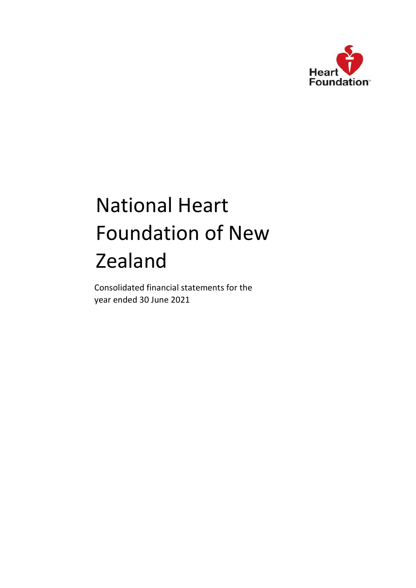

Consolidated financial statements for the year ended 30 June 2021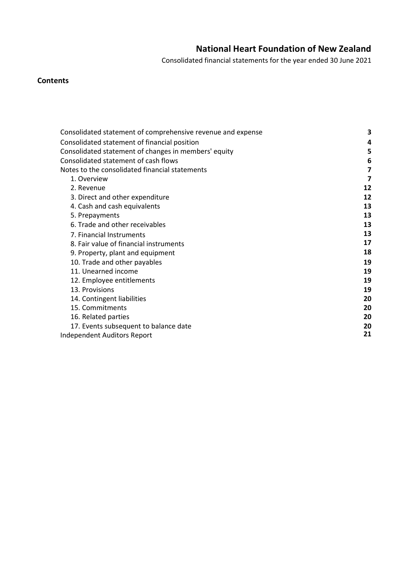Consolidated financial statements for the year ended 30 June 2021

# **Contents**

| Consolidated statement of comprehensive revenue and expense | 3  |
|-------------------------------------------------------------|----|
| Consolidated statement of financial position                | 4  |
| Consolidated statement of changes in members' equity        | 5  |
| Consolidated statement of cash flows                        | 6  |
| Notes to the consolidated financial statements              | 7  |
| 1. Overview                                                 | 7  |
| 2. Revenue                                                  | 12 |
| 3. Direct and other expenditure                             | 12 |
| 4. Cash and cash equivalents                                | 13 |
| 5. Prepayments                                              | 13 |
| 6. Trade and other receivables                              | 13 |
| 7. Financial Instruments                                    | 13 |
| 8. Fair value of financial instruments                      | 17 |
| 9. Property, plant and equipment                            | 18 |
| 10. Trade and other payables                                | 19 |
| 11. Unearned income                                         | 19 |
| 12. Employee entitlements                                   | 19 |
| 13. Provisions                                              | 19 |
| 14. Contingent liabilities                                  | 20 |
| 15. Commitments                                             | 20 |
| 16. Related parties                                         | 20 |
| 17. Events subsequent to balance date                       | 20 |
| Independent Auditors Report                                 | 21 |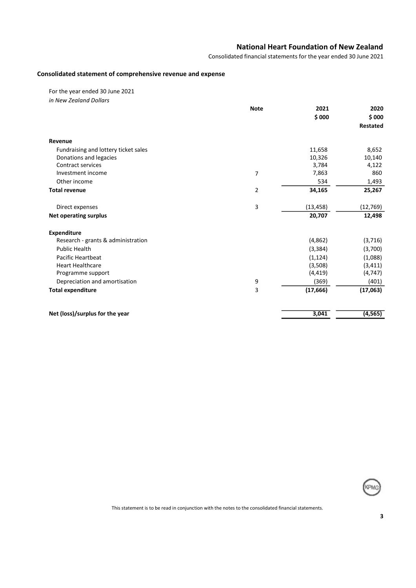Consolidated financial statements for the year ended 30 June 2021

### Consolidated statement of comprehensive revenue and expense

For the year ended 30 June 2021 in New Zealand Dollars

|                                      | <b>Note</b> | 2021      | 2020      |
|--------------------------------------|-------------|-----------|-----------|
|                                      |             | \$000     | \$000     |
|                                      |             |           | Restated  |
| Revenue                              |             |           |           |
| Fundraising and lottery ticket sales |             | 11,658    | 8,652     |
| Donations and legacies               |             | 10,326    | 10,140    |
| <b>Contract services</b>             |             | 3,784     | 4,122     |
| Investment income                    | 7           | 7,863     | 860       |
| Other income                         |             | 534       | 1,493     |
| <b>Total revenue</b>                 | 2           | 34,165    | 25,267    |
| Direct expenses                      | 3           | (13, 458) | (12, 769) |
| <b>Net operating surplus</b>         |             | 20,707    | 12,498    |
| Expenditure                          |             |           |           |
| Research - grants & administration   |             | (4,862)   | (3,716)   |
| <b>Public Health</b>                 |             | (3, 384)  | (3,700)   |
| <b>Pacific Heartbeat</b>             |             | (1, 124)  | (1,088)   |
| <b>Heart Healthcare</b>              |             | (3,508)   | (3, 411)  |
| Programme support                    |             | (4, 419)  | (4, 747)  |
| Depreciation and amortisation        | 9           | (369)     | (401)     |
| <b>Total expenditure</b>             | 3           | (17, 666) | (17,063)  |
| Net (loss)/surplus for the year      |             | 3,041     | (4, 565)  |

KPMO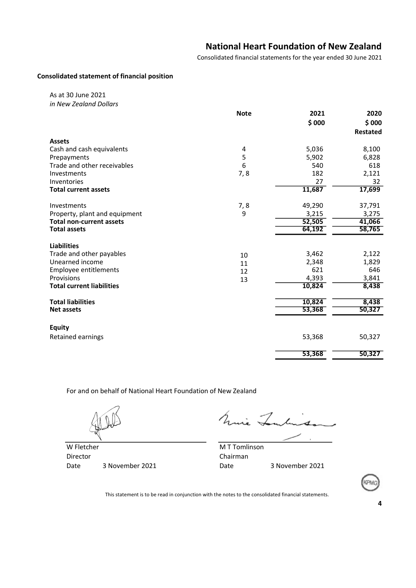Consolidated financial statements for the year ended 30 June 2021

### Consolidated statement of financial position

As at 30 June 2021 in New Zealand Dollars

| <b>Note</b> | 2021                         | 2020                                                           |
|-------------|------------------------------|----------------------------------------------------------------|
|             | \$000                        | \$000                                                          |
|             |                              | <b>Restated</b>                                                |
|             |                              |                                                                |
| 4           | 5,036                        | 8,100                                                          |
| 5           | 5,902                        | 6,828                                                          |
| 6           | 540                          | 618                                                            |
| 7, 8        | 182                          | 2,121                                                          |
|             | 27                           | 32                                                             |
|             | 11,687                       | 17,699                                                         |
|             |                              | 37,791                                                         |
| 9           |                              | 3,275                                                          |
|             |                              | 41,066                                                         |
|             | 64,192                       | 58,765                                                         |
|             |                              |                                                                |
|             |                              | 2,122                                                          |
|             |                              | 1,829                                                          |
|             | 621                          | 646                                                            |
|             |                              | 3,841                                                          |
|             | 10,824                       | 8,438                                                          |
|             |                              | 8,438                                                          |
|             | 53,368                       | 50,327                                                         |
|             |                              |                                                                |
|             |                              |                                                                |
|             | 53,368                       | 50,327                                                         |
|             | 53,368                       | 50,327                                                         |
|             | 7, 8<br>10<br>11<br>12<br>13 | 49,290<br>3,215<br>52,505<br>3,462<br>2,348<br>4,393<br>10,824 |

For and on behalf of National Heart Foundation of New Zealand

Mine Tentingo

W Fletcher M T Tomlinson Director **Chairman** Date 3 November 2021 Date 3 November 2021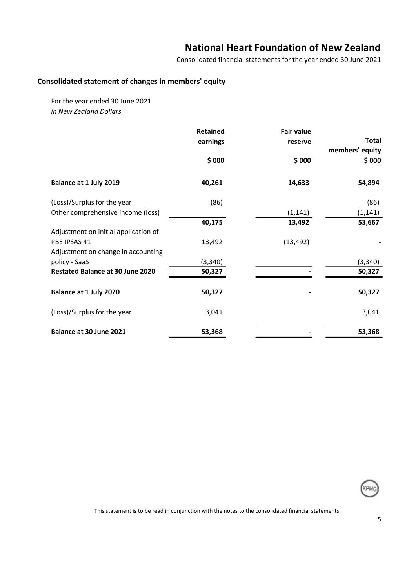Consolidated financial statements for the year ended 30 June 2021

# Consolidated statement of changes in members' equity

For the year ended 30 June 2021 in New Zealand Dollars

|                                         | <b>Retained</b> | <b>Fair value</b> | <b>Total</b>    |
|-----------------------------------------|-----------------|-------------------|-----------------|
|                                         | earnings        | reserve           | members' equity |
|                                         | \$000           | \$000             | \$000           |
| Balance at 1 July 2019                  | 40,261          | 14,633            | 54,894          |
| (Loss)/Surplus for the year             | (86)            |                   | (86)            |
| Other comprehensive income (loss)       |                 | (1, 141)          | (1, 141)        |
|                                         | 40,175          | 13,492            | 53,667          |
| Adjustment on initial application of    |                 |                   |                 |
| PBE IPSAS 41                            | 13,492          | (13, 492)         |                 |
| Adjustment on change in accounting      |                 |                   |                 |
| policy - SaaS                           | (3, 340)        |                   | (3, 340)        |
| <b>Restated Balance at 30 June 2020</b> | 50,327          |                   | 50,327          |
| Balance at 1 July 2020                  | 50,327          |                   | 50,327          |
| (Loss)/Surplus for the year             | 3,041           |                   | 3,041           |
| Balance at 30 June 2021                 | 53,368          |                   | 53,368          |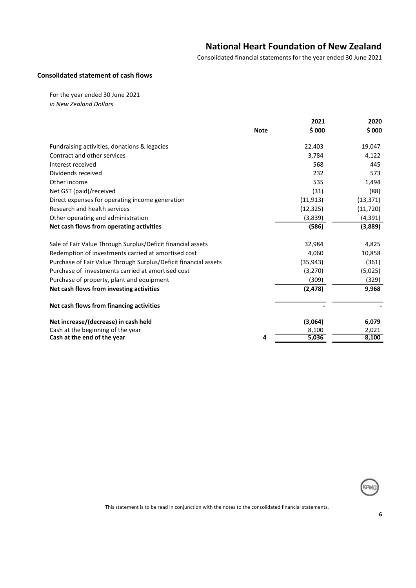Consolidated financial statements for the year ended 30 June 2021

### Consolidated statement of cash flows

For the year ended 30 June 2021 in New Zealand Dollars

|                                                                 | <b>Note</b> | 2021<br>\$000 | 2020<br>\$000 |
|-----------------------------------------------------------------|-------------|---------------|---------------|
| Fundraising activities, donations & legacies                    |             | 22,403        | 19,047        |
| Contract and other services                                     |             | 3,784         | 4,122         |
| Interest received                                               |             | 568           | 445           |
| Dividends received                                              |             | 232           | 573           |
| Other income                                                    |             | 535           | 1,494         |
| Net GST (paid)/received                                         |             | (31)          | (88)          |
| Direct expenses for operating income generation                 |             | (11, 913)     | (13, 371)     |
| Research and health services                                    |             | (12, 325)     | (11, 720)     |
| Other operating and administration                              |             | (3,839)       | (4, 391)      |
| Net cash flows from operating activities                        |             | (586)         | (3,889)       |
| Sale of Fair Value Through Surplus/Deficit financial assets     |             | 32,984        | 4,825         |
| Redemption of investments carried at amortised cost             |             | 4,060         | 10,858        |
| Purchase of Fair Value Through Surplus/Deficit financial assets |             | (35, 943)     | (361)         |
| Purchase of investments carried at amortised cost               |             | (3,270)       | (5,025)       |
| Purchase of property, plant and equipment                       |             | (309)         | (329)         |
| Net cash flows from investing activities                        |             | (2, 478)      | 9,968         |
| Net cash flows from financing activities                        |             |               |               |
| Net increase/(decrease) in cash held                            |             | (3,064)       | 6,079         |
| Cash at the beginning of the year                               |             | 8,100         | 2,021         |
| Cash at the end of the year                                     | 4           | 5,036         | 8,100         |
|                                                                 |             |               |               |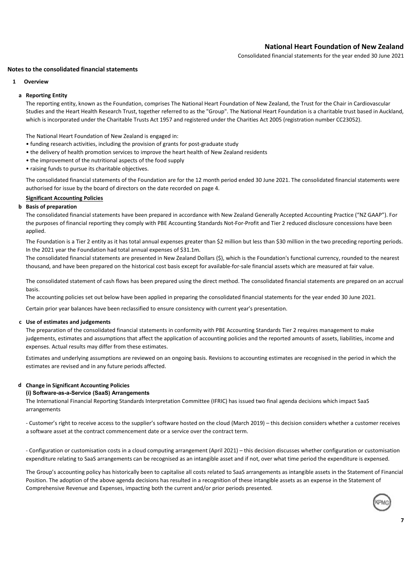Consolidated financial statements for the year ended 30 June 2021

### Notes to the consolidated financial statements

### 1 Overview

### a Reporting Entity

The reporting entity, known as the Foundation, comprises The National Heart Foundation of New Zealand, the Trust for the Chair in Cardiovascular Studies and the Heart Health Research Trust, together referred to as the "Group". The National Heart Foundation is a charitable trust based in Auckland, which is incorporated under the Charitable Trusts Act 1957 and registered under the Charities Act 2005 (registration number CC23052).

The National Heart Foundation of New Zealand is engaged in:

- funding research activities, including the provision of grants for post-graduate study
- the delivery of health promotion services to improve the heart health of New Zealand residents
- the improvement of the nutritional aspects of the food supply
- raising funds to pursue its charitable objectives.

The consolidated financial statements of the Foundation are for the 12 month period ended 30 June 2021. The consolidated financial statements were authorised for issue by the board of directors on the date recorded on page 4.

### Significant Accounting Policies

### b Basis of preparation

The consolidated financial statements have been prepared in accordance with New Zealand Generally Accepted Accounting Practice ("NZ GAAP"). For the purposes of financial reporting they comply with PBE Accounting Standards Not-For-Profit and Tier 2 reduced disclosure concessions have been applied.

The Foundation is a Tier 2 entity as it has total annual expenses greater than \$2 million but less than \$30 million in the two preceding reporting periods. In the 2021 year the Foundation had total annual expenses of \$31.1m.

The consolidated financial statements are presented in New Zealand Dollars (\$), which is the Foundation's functional currency, rounded to the nearest thousand, and have been prepared on the historical cost basis except for available-for-sale financial assets which are measured at fair value.

The consolidated statement of cash flows has been prepared using the direct method. The consolidated financial statements are prepared on an accrual basis.

The accounting policies set out below have been applied in preparing the consolidated financial statements for the year ended 30 June 2021.

Certain prior year balances have been reclassified to ensure consistency with current year's presentation.

### c Use of estimates and judgements

The preparation of the consolidated financial statements in conformity with PBE Accounting Standards Tier 2 requires management to make judgements, estimates and assumptions that affect the application of accounting policies and the reported amounts of assets, liabilities, income and expenses. Actual results may differ from these estimates.

Estimates and underlying assumptions are reviewed on an ongoing basis. Revisions to accounting estimates are recognised in the period in which the estimates are revised and in any future periods affected.

### d Change in Significant Accounting Policies

### (i) Software-as-a-Service (SaaS) Arrangements

The International Financial Reporting Standards Interpretation Committee (IFRIC) has issued two final agenda decisions which impact SaaS arrangements

- Customer's right to receive access to the supplier's software hosted on the cloud (March 2019) – this decision considers whether a customer receives a software asset at the contract commencement date or a service over the contract term.

- Configuration or customisation costs in a cloud computing arrangement (April 2021) – this decision discusses whether configuration or customisation expenditure relating to SaaS arrangements can be recognised as an intangible asset and if not, over what time period the expenditure is expensed.

The Group's accounting policy has historically been to capitalise all costs related to SaaS arrangements as intangible assets in the Statement of Financial Position. The adoption of the above agenda decisions has resulted in a recognition of these intangible assets as an expense in the Statement of Comprehensive Revenue and Expenses, impacting both the current and/or prior periods presented.

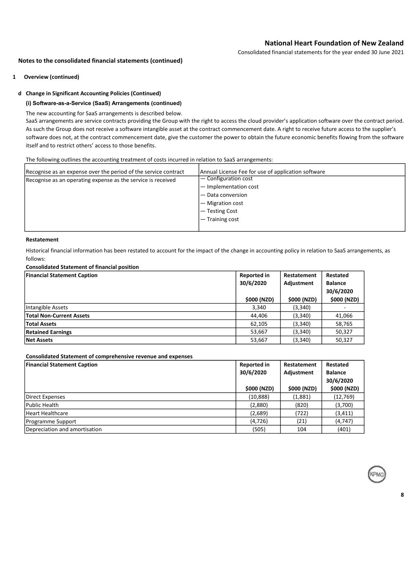Consolidated financial statements for the year ended 30 June 2021

### Notes to the consolidated financial statements (continued)

1 Overview (continued)

### d Change in Significant Accounting Policies (Continued)

### (i) Software-as-a-Service (SaaS) Arrangements (continued)

The new accounting for SaaS arrangements is described below.

SaaS arrangements are service contracts providing the Group with the right to access the cloud provider's application software over the contract period. As such the Group does not receive a software intangible asset at the contract commencement date. A right to receive future access to the supplier's software does not, at the contract commencement date, give the customer the power to obtain the future economic benefits flowing from the software itself and to restrict others' access to those benefits.

The following outlines the accounting treatment of costs incurred in relation to SaaS arrangements:

| Recognise as an expense over the period of the service contract | Annual License Fee for use of application software |
|-----------------------------------------------------------------|----------------------------------------------------|
| Recognise as an operating expense as the service is received    | $\sim$ Configuration cost                          |
|                                                                 | - Implementation cost                              |
|                                                                 | - Data conversion                                  |
|                                                                 | $-$ Migration cost                                 |
|                                                                 | $-$ Testing Cost                                   |
|                                                                 | $-$ Training cost                                  |
|                                                                 |                                                    |

### Restatement

Historical financial information has been restated to account for the impact of the change in accounting policy in relation to SaaS arrangements, as follows:

### Consolidated Statement of financial position

| <b>Financial Statement Caption</b> | <b>Reported in</b><br>30/6/2020 | Restatement<br>Adjustment | Restated<br><b>Balance</b><br>30/6/2020 |
|------------------------------------|---------------------------------|---------------------------|-----------------------------------------|
|                                    | \$000 (NZD)                     | \$000 (NZD)               | \$000 (NZD)                             |
| Intangible Assets                  | 3,340                           | (3, 340)                  |                                         |
| <b>Total Non-Current Assets</b>    | 44,406                          | (3,340)                   | 41,066                                  |
| <b>Total Assets</b>                | 62,105                          | (3,340)                   | 58,765                                  |
| <b>Retained Earnings</b>           | 53,667                          | (3,340)                   | 50,327                                  |
| <b>Net Assets</b>                  | 53,667                          | (3, 340)                  | 50,327                                  |

### Consolidated Statement of comprehensive revenue and expenses

| <b>Financial Statement Caption</b> | <b>Reported in</b> | Restatement | Restated       |
|------------------------------------|--------------------|-------------|----------------|
|                                    | 30/6/2020          | Adjustment  | <b>Balance</b> |
|                                    |                    |             | 30/6/2020      |
|                                    | \$000 (NZD)        | \$000 (NZD) | \$000 (NZD)    |
| Direct Expenses                    | (10, 888)          | (1,881)     | (12, 769)      |
| Public Health                      | (2,880)            | (820)       | (3,700)        |
| Heart Healthcare                   | (2,689)            | (722)       | (3, 411)       |
| Programme Support                  | (4, 726)           | (21)        | (4, 747)       |
| Depreciation and amortisation      | (505)              | 104         | (401)          |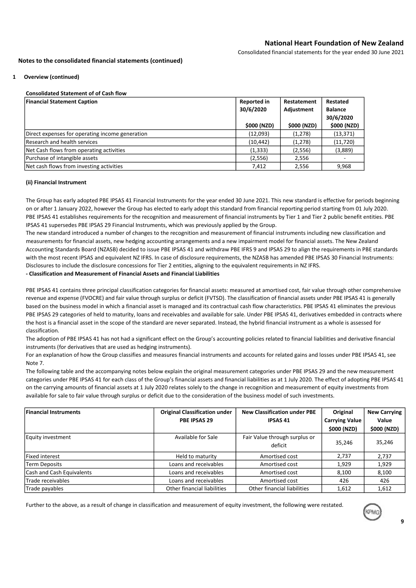Consolidated financial statements for the year ended 30 June 2021

### Notes to the consolidated financial statements (continued)

### 1 Overview (continued)

### Consolidated Statement of of Cash flow

| <b>Financial Statement Caption</b>              | <b>Reported in</b> | Restatement | Restated       |
|-------------------------------------------------|--------------------|-------------|----------------|
|                                                 | 30/6/2020          | Adjustment  | <b>Balance</b> |
|                                                 |                    |             | 30/6/2020      |
|                                                 | \$000 (NZD)        | \$000 (NZD) | \$000 (NZD)    |
| Direct expenses for operating income generation | (12,093)           | (1,278)     | (13, 371)      |
| Research and health services                    | (10, 442)          | (1,278)     | (11, 720)      |
| Net Cash flows from operating activities        | (1, 333)           | (2,556)     | (3,889)        |
| Purchase of intangible assets                   | (2, 556)           | 2,556       |                |
| Net cash flows from investing activities        | 7,412              | 2,556       | 9,968          |

### (ii) Financial Instrument

The Group has early adopted PBE IPSAS 41 Financial Instruments for the year ended 30 June 2021. This new standard is effective for periods beginning on or after 1 January 2022, however the Group has elected to early adopt this standard from financial reporting period starting from 01 July 2020. PBE IPSAS 41 establishes requirements for the recognition and measurement of financial instruments by Tier 1 and Tier 2 public benefit entities. PBE IPSAS 41 supersedes PBE IPSAS 29 Financial Instruments, which was previously applied by the Group.

The new standard introduced a number of changes to the recognition and measurement of financial instruments including new classification and measurements for financial assets, new hedging accounting arrangements and a new impairment model for financial assets. The New Zealand Accounting Standards Board (NZASB) decided to issue PBE IPSAS 41 and withdraw PBE IFRS 9 and IPSAS 29 to align the requirements in PBE standards with the most recent IPSAS and equivalent NZ IFRS. In case of disclosure requirements, the NZASB has amended PBE IPSAS 30 Financial Instruments: Disclosures to include the disclosure concessions for Tier 2 entities, aligning to the equivalent requirements in NZ IFRS.

### - Classification and Measurement of Financial Assets and Financial Liabilities

PBE IPSAS 41 contains three principal classification categories for financial assets: measured at amortised cost, fair value through other comprehensive revenue and expense (FVOCRE) and fair value through surplus or deficit (FVTSD). The classification of financial assets under PBE IPSAS 41 is generally based on the business model in which a financial asset is managed and its contractual cash flow characteristics. PBE IPSAS 41 eliminates the previous PBE IPSAS 29 categories of held to maturity, loans and receivables and available for sale. Under PBE IPSAS 41, derivatives embedded in contracts where the host is a financial asset in the scope of the standard are never separated. Instead, the hybrid financial instrument as a whole is assessed for classification.

The adoption of PBE IPSAS 41 has not had a significant effect on the Group's accounting policies related to financial liabilities and derivative financial instruments (for derivatives that are used as hedging instruments).

For an explanation of how the Group classifies and measures financial instruments and accounts for related gains and losses under PBE IPSAS 41, see Note 7.

The following table and the accompanying notes below explain the original measurement categories under PBE IPSAS 29 and the new measurement categories under PBE IPSAS 41 for each class of the Group's financial assets and financial liabilities as at 1 July 2020. The effect of adopting PBE IPSAS 41 on the carrying amounts of financial assets at 1 July 2020 relates solely to the change in recognition and measurement of equity investments from available for sale to fair value through surplus or deficit due to the consideration of the business model of such investments.

| <b>Financial Instruments</b> | <b>Original Classification under</b> | <b>New Classification under PBE</b>      | Original              | <b>New Carrying</b> |
|------------------------------|--------------------------------------|------------------------------------------|-----------------------|---------------------|
|                              | PBE IPSAS 29                         | <b>IPSAS 41</b>                          | <b>Carrying Value</b> | Value               |
|                              |                                      |                                          | \$000 (NZD)           | \$000 (NZD)         |
| Equity investment            | Available for Sale                   | Fair Value through surplus or<br>deficit | 35,246                | 35,246              |
| Fixed interest               | Held to maturity                     | Amortised cost                           | 2.737                 | 2,737               |
| Term Deposits                | Loans and receivables                | Amortised cost                           | 1,929                 | 1,929               |
| Cash and Cash Equivalents    | Loans and receivables                | Amortised cost                           | 8,100                 | 8,100               |
| Trade receivables            | Loans and receivables                | Amortised cost                           | 426                   | 426                 |
| Trade payables               | Other financial liabilities          | Other financial liabilities              | 1,612                 | 1.612               |

Further to the above, as a result of change in classification and measurement of equity investment, the following were restated.

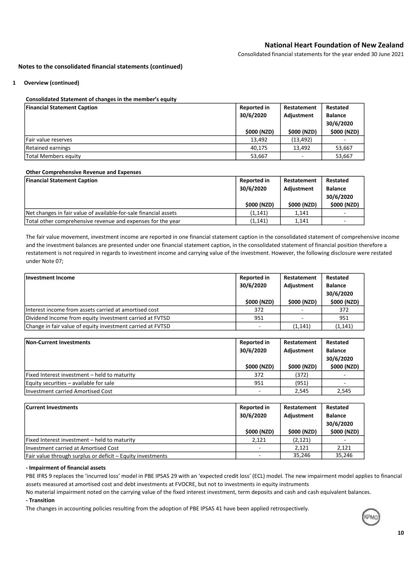Consolidated financial statements for the year ended 30 June 2021

### Notes to the consolidated financial statements (continued)

### 1 Overview (continued)

### Consolidated Statement of changes in the member's equity

| <b>Financial Statement Caption</b> | <b>Reported in</b><br>30/6/2020 | Restatement<br>Adjustment | Restated<br><b>Balance</b><br>30/6/2020 |
|------------------------------------|---------------------------------|---------------------------|-----------------------------------------|
|                                    | \$000 (NZD)                     | \$000 (NZD)               | \$000 (NZD)                             |
| Fair value reserves                | 13.492                          | (13, 492)                 |                                         |
| Retained earnings                  | 40,175                          | 13.492                    | 53,667                                  |
| Total Members equity               | 53,667                          | -                         | 53,667                                  |

### Other Comprehensive Revenue and Expenses

| <b>Financial Statement Caption</b>                               | <b>Reported in</b> | Restatement | Restated       |
|------------------------------------------------------------------|--------------------|-------------|----------------|
|                                                                  | 30/6/2020          | Adjustment  | <b>Balance</b> |
|                                                                  |                    |             | 30/6/2020      |
|                                                                  | \$000 (NZD)        | \$000 (NZD) | \$000 (NZD)    |
| Net changes in fair value of available-for-sale financial assets | (1, 141)           | 1.141       |                |
| Total other comprehensive revenue and expenses for the year      | (1, 141)           | 1.141       |                |

The fair value movement, investment income are reported in one financial statement caption in the consolidated statement of comprehensive income and the investment balances are presented under one financial statement caption, in the consolidated statement of financial position therefore a restatement is not required in regards to investment income and carrying value of the investment. However, the following disclosure were restated under Note 07;

| Investment Income                                          | <b>Reported in</b><br>30/6/2020 | Restatement<br>Adjustment | Restated<br><b>Balance</b><br>30/6/2020 |  |
|------------------------------------------------------------|---------------------------------|---------------------------|-----------------------------------------|--|
|                                                            | \$000 (NZD)                     | \$000 (NZD)               | \$000 (NZD)                             |  |
| Interest income from assets carried at amortised cost      | 372                             |                           | 372                                     |  |
| Dividend Income from equity investment carried at FVTSD    | 951                             |                           | 951                                     |  |
| Change in fair value of equity investment carried at FVTSD |                                 | (1, 141)                  | (1, 141)                                |  |

| Non-Current Investments                      | <b>Reported in</b><br>30/6/2020 | Restatement<br>Adjustment | Restated<br><b>Balance</b><br>30/6/2020 |  |
|----------------------------------------------|---------------------------------|---------------------------|-----------------------------------------|--|
|                                              | \$000 (NZD)                     | \$000 (NZD)               | \$000 (NZD)                             |  |
| Fixed Interest investment – held to maturity | 372                             | (372)                     |                                         |  |
| Equity securities - available for sale       | 951                             | (951)                     |                                         |  |
| Investment carried Amortised Cost            |                                 | 2.545                     | 2,545                                   |  |

| <b>Current Investments</b>                                 | <b>Reported in</b><br>30/6/2020 | Restatement<br>Adjustment | Restated<br><b>Balance</b><br>30/6/2020 |  |
|------------------------------------------------------------|---------------------------------|---------------------------|-----------------------------------------|--|
|                                                            | \$000 (NZD)                     | \$000 (NZD)               | \$000 (NZD)                             |  |
| Fixed Interest investment - held to maturity               | 2,121                           | (2, 121)                  |                                         |  |
| Investment carried at Amortised Cost                       |                                 | 2.121                     | 2.121                                   |  |
| Fair value through surplus or deficit – Equity investments |                                 | 35.246                    | 35.246                                  |  |

### - Impairment of financial assets

PBE IFRS 9 replaces the 'incurred loss' model in PBE IPSAS 29 with an 'expected credit loss' (ECL) model. The new impairment model applies to financial assets measured at amortised cost and debt investments at FVOCRE, but not to investments in equity instruments

No material impairment noted on the carrying value of the fixed interest investment, term deposits and cash and cash equivalent balances.

### - Transition

The changes in accounting policies resulting from the adoption of PBE IPSAS 41 have been applied retrospectively.

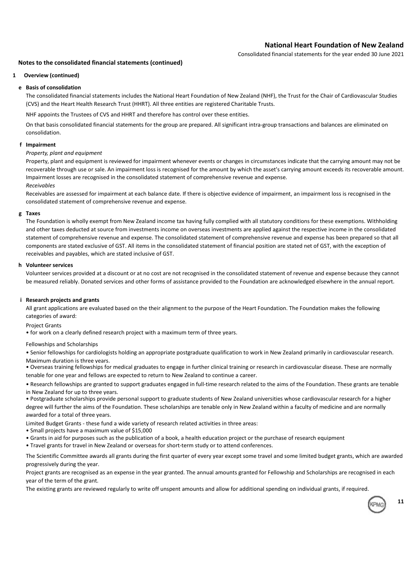Consolidated financial statements for the year ended 30 June 2021

### Notes to the consolidated financial statements (continued)

### 1 Overview (continued)

### e Basis of consolidation

The consolidated financial statements includes the National Heart Foundation of New Zealand (NHF), the Trust for the Chair of Cardiovascular Studies (CVS) and the Heart Health Research Trust (HHRT). All three entities are registered Charitable Trusts.

NHF appoints the Trustees of CVS and HHRT and therefore has control over these entities.

On that basis consolidated financial statements for the group are prepared. All significant intra-group transactions and balances are eliminated on consolidation.

### f Impairment

### Property, plant and equipment

Receivables Property, plant and equipment is reviewed for impairment whenever events or changes in circumstances indicate that the carrying amount may not be recoverable through use or sale. An impairment loss is recognised for the amount by which the asset's carrying amount exceeds its recoverable amount. Impairment losses are recognised in the consolidated statement of comprehensive revenue and expense.

Receivables are assessed for impairment at each balance date. If there is objective evidence of impairment, an impairment loss is recognised in the consolidated statement of comprehensive revenue and expense.

### g Taxes

The Foundation is wholly exempt from New Zealand income tax having fully complied with all statutory conditions for these exemptions. Withholding and other taxes deducted at source from investments income on overseas investments are applied against the respective income in the consolidated statement of comprehensive revenue and expense. The consolidated statement of comprehensive revenue and expense has been prepared so that all components are stated exclusive of GST. All items in the consolidated statement of financial position are stated net of GST, with the exception of receivables and payables, which are stated inclusive of GST.

### h Volunteer services

Volunteer services provided at a discount or at no cost are not recognised in the consolidated statement of revenue and expense because they cannot be measured reliably. Donated services and other forms of assistance provided to the Foundation are acknowledged elsewhere in the annual report.

### i Research projects and grants

All grant applications are evaluated based on the their alignment to the purpose of the Heart Foundation. The Foundation makes the following categories of award:

Project Grants

• for work on a clearly defined research project with a maximum term of three years.

Fellowships and Scholarships

• Senior fellowships for cardiologists holding an appropriate postgraduate qualification to work in New Zealand primarily in cardiovascular research.

Maximum duration is three years.

• Overseas training fellowships for medical graduates to engage in further clinical training or research in cardiovascular disease. These are normally tenable for one year and fellows are expected to return to New Zealand to continue a career.

• Research fellowships are granted to support graduates engaged in full-time research related to the aims of the Foundation. These grants are tenable in New Zealand for up to three years.

• Postgraduate scholarships provide personal support to graduate students of New Zealand universities whose cardiovascular research for a higher degree will further the aims of the Foundation. These scholarships are tenable only in New Zealand within a faculty of medicine and are normally awarded for a total of three years.

Limited Budget Grants - these fund a wide variety of research related activities in three areas:

- Small projects have a maximum value of \$15,000
- Grants in aid for purposes such as the publication of a book, a health education project or the purchase of research equipment
- Travel grants for travel in New Zealand or overseas for short-term study or to attend conferences.

The Scientific Committee awards all grants during the first quarter of every year except some travel and some limited budget grants, which are awarded progressively during the year.

Project grants are recognised as an expense in the year granted. The annual amounts granted for Fellowship and Scholarships are recognised in each year of the term of the grant.

The existing grants are reviewed regularly to write off unspent amounts and allow for additional spending on individual grants, if required.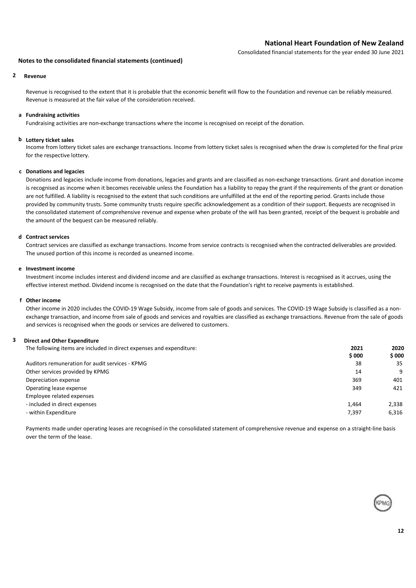Consolidated financial statements for the year ended 30 June 2021

### Notes to the consolidated financial statements (continued)

### 2 Revenue

Revenue is recognised to the extent that it is probable that the economic benefit will flow to the Foundation and revenue can be reliably measured. Revenue is measured at the fair value of the consideration received.

### a Fundraising activities

Fundraising activities are non-exchange transactions where the income is recognised on receipt of the donation.

### b Lottery ticket sales

Income from lottery ticket sales are exchange transactions. Income from lottery ticket sales is recognised when the draw is completed for the final prize for the respective lottery.

### c Donations and legacies

Donations and legacies include income from donations, legacies and grants and are classified as non-exchange transactions. Grant and donation income is recognised as income when it becomes receivable unless the Foundation has a liability to repay the grant if the requirements of the grant or donation are not fulfilled. A liability is recognised to the extent that such conditions are unfulfilled at the end of the reporting period. Grants include those provided by community trusts. Some community trusts require specific acknowledgement as a condition of their support. Bequests are recognised in the consolidated statement of comprehensive revenue and expense when probate of the will has been granted, receipt of the bequest is probable and the amount of the bequest can be measured reliably.

### d Contract services

Contract services are classified as exchange transactions. Income from service contracts is recognised when the contracted deliverables are provided. The unused portion of this income is recorded as unearned income.

### e Investment income

Investment income includes interest and dividend income and are classified as exchange transactions. Interest is recognised as it accrues, using the effective interest method. Dividend income is recognised on the date that the Foundation's right to receive payments is established.

### f Other income

Other income in 2020 includes the COVID-19 Wage Subsidy, income from sale of goods and services. The COVID-19 Wage Subsidy is classified as a nonexchange transaction, and income from sale of goods and services and royalties are classified as exchange transactions. Revenue from the sale of goods and services is recognised when the goods or services are delivered to customers.

### 3 Direct and Other Expenditure

The following items are included in direct expenses and expenditure: 2021 2020 2021 2020 \$ 000 \$ 000 Auditors remuneration for audit services - KPMG 38 35 Other services provided by KPMG 14 9 Depreciation expense 369 401 Operating lease expense 349 349 421 Employee related expenses - included in direct expenses 1,464 2,338 - within Expenditure 6,316

Payments made under operating leases are recognised in the consolidated statement of comprehensive revenue and expense on a straight-line basis over the term of the lease.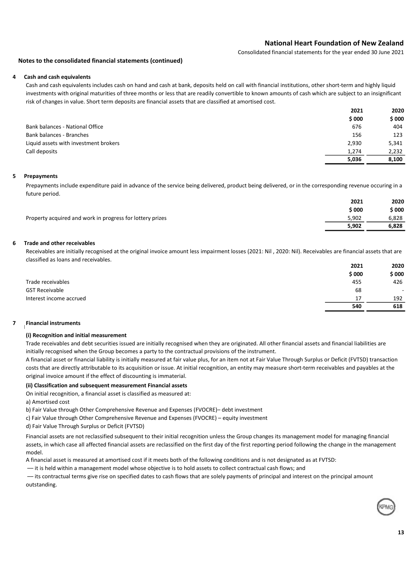Consolidated financial statements for the year ended 30 June 2021

### Notes to the consolidated financial statements (continued)

### 4 Cash and cash equivalents

Cash and cash equivalents includes cash on hand and cash at bank, deposits held on call with financial institutions, other short-term and highly liquid investments with original maturities of three months or less that are readily convertible to known amounts of cash which are subject to an insignificant risk of changes in value. Short term deposits are financial assets that are classified at amortised cost.

|                                       | 2021<br>\$000 | 2020  |
|---------------------------------------|---------------|-------|
|                                       |               | \$000 |
| Bank balances - National Office       | 676           | 404   |
| Bank balances - Branches              | 156           | 123   |
| Liquid assets with investment brokers | 2,930         | 5,341 |
| Call deposits                         | 1.274         | 2.232 |
|                                       | 5,036         | 8.100 |

### 5 Prepayments

Prepayments include expenditure paid in advance of the service being delivered, product being delivered, or in the corresponding revenue occuring in a future period.

|                                                           | 2021   | 2020   |
|-----------------------------------------------------------|--------|--------|
|                                                           | \$ 000 | \$ 000 |
| Property acquired and work in progress for lottery prizes | 5.902  | 6,828  |
|                                                           | 5.902  | 6.828  |

### 6 Trade and other receivables

Receivables are initially recognised at the original invoice amount less impairment losses (2021: Nil), 2020: Nil). Receivables are financial assets that are classified as loans and receivables.

|                         | 2021  | 2020   |
|-------------------------|-------|--------|
|                         | \$000 | \$ 000 |
| Trade receivables       | 455   | 426    |
| <b>GST Receivable</b>   | 68    |        |
| Interest income accrued | 17    | 192    |
|                         | 540   | 618    |

### 7 **Financial instruments**

### (i) Recognition and initial measurement

Trade receivables and debt securities issued are initially recognised when they are originated. All other financial assets and financial liabilities are initially recognised when the Group becomes a party to the contractual provisions of the instrument.

A financial asset or financial liability is initially measured at fair value plus, for an item not at Fair Value Through Surplus or Deficit (FVTSD) transaction costs that are directly attributable to its acquisition or issue. At initial recognition, an entity may measure short-term receivables and payables at the original invoice amount if the effect of discounting is immaterial.

### (ii) Classification and subsequent measurement Financial assets

On initial recognition, a financial asset is classified as measured at:

a) Amortised cost

b) Fair Value through Other Comprehensive Revenue and Expenses (FVOCRE)– debt investment

c) Fair Value through Other Comprehensive Revenue and Expenses (FVOCRE) – equity investment

d) Fair Value Through Surplus or Deficit (FVTSD)

Financial assets are not reclassified subsequent to their initial recognition unless the Group changes its management model for managing financial assets, in which case all affected financial assets are reclassified on the first day of the first reporting period following the change in the management model.

A financial asset is measured at amortised cost if it meets both of the following conditions and is not designated as at FVTSD:

–– it is held within a management model whose objective is to hold assets to collect contractual cash flows; and

–– its contractual terms give rise on specified dates to cash flows that are solely payments of principal and interest on the principal amount outstanding.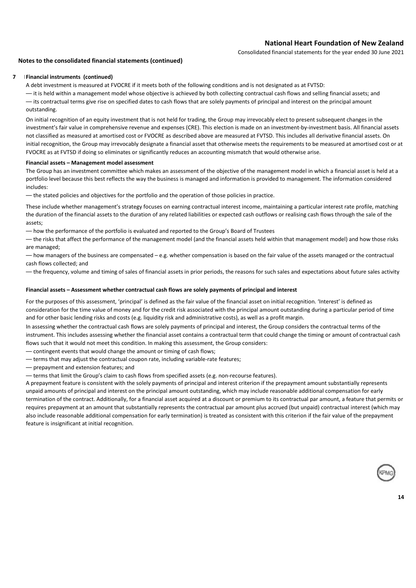Consolidated financial statements for the year ended 30 June 2021

### Notes to the consolidated financial statements (continued)

### 7 **IFinancial instruments (continued)**

A debt investment is measured at FVOCRE if it meets both of the following conditions and is not designated as at FVTSD:

–– it is held within a management model whose objective is achieved by both collecting contractual cash flows and selling financial assets; and –– its contractual terms give rise on specified dates to cash flows that are solely payments of principal and interest on the principal amount outstanding.

On initial recognition of an equity investment that is not held for trading, the Group may irrevocably elect to present subsequent changes in the investment's fair value in comprehensive revenue and expenses (CRE). This election is made on an investment-by-investment basis. All financial assets not classified as measured at amortised cost or FVOCRE as described above are measured at FVTSD. This includes all derivative financial assets. On initial recognition, the Group may irrevocably designate a financial asset that otherwise meets the requirements to be measured at amortised cost or at FVOCRE as at FVTSD if doing so eliminates or significantly reduces an accounting mismatch that would otherwise arise.

### Financial assets – Management model assessment

The Group has an investment committee which makes an assessment of the objective of the management model in which a financial asset is held at a portfolio level because this best reflects the way the business is managed and information is provided to management. The information considered includes:

–– the stated policies and objectives for the portfolio and the operation of those policies in practice.

These include whether management's strategy focuses on earning contractual interest income, maintaining a particular interest rate profile, matching the duration of the financial assets to the duration of any related liabilities or expected cash outflows or realising cash flows through the sale of the assets;

–– how the performance of the portfolio is evaluated and reported to the Group's Board of Trustees

–– the risks that affect the performance of the management model (and the financial assets held within that management model) and how those risks are managed;

–– how managers of the business are compensated – e.g. whether compensation is based on the fair value of the assets managed or the contractual cash flows collected; and

–– the frequency, volume and timing of sales of financial assets in prior periods, the reasons for such sales and expectations about future sales activity

### Financial assets – Assessment whether contractual cash flows are solely payments of principal and interest

For the purposes of this assessment, 'principal' is defined as the fair value of the financial asset on initial recognition. 'Interest' is defined as consideration for the time value of money and for the credit risk associated with the principal amount outstanding during a particular period of time and for other basic lending risks and costs (e.g. liquidity risk and administrative costs), as well as a profit margin.

In assessing whether the contractual cash flows are solely payments of principal and interest, the Group considers the contractual terms of the instrument. This includes assessing whether the financial asset contains a contractual term that could change the timing or amount of contractual cash flows such that it would not meet this condition. In making this assessment, the Group considers:

–– contingent events that would change the amount or timing of cash flows;

- –– terms that may adjust the contractual coupon rate, including variable-rate features;
- –– prepayment and extension features; and

–– terms that limit the Group's claim to cash flows from specified assets (e.g. non-recourse features).

A prepayment feature is consistent with the solely payments of principal and interest criterion if the prepayment amount substantially represents unpaid amounts of principal and interest on the principal amount outstanding, which may include reasonable additional compensation for early termination of the contract. Additionally, for a financial asset acquired at a discount or premium to its contractual par amount, a feature that permits or requires prepayment at an amount that substantially represents the contractual par amount plus accrued (but unpaid) contractual interest (which may also include reasonable additional compensation for early termination) is treated as consistent with this criterion if the fair value of the prepayment feature is insignificant at initial recognition.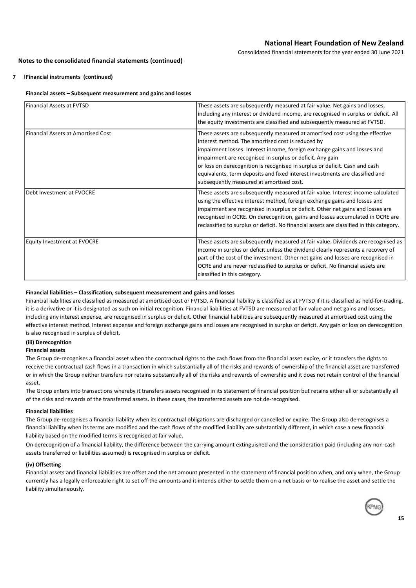Consolidated financial statements for the year ended 30 June 2021

### Notes to the consolidated financial statements (continued)

### 7 **IFinancial instruments (continued)**

### Financial assets – Subsequent measurement and gains and losses

| Financial Assets at FVTSD           | These assets are subsequently measured at fair value. Net gains and losses,<br>including any interest or dividend income, are recognised in surplus or deficit. All<br>the equity investments are classified and subsequently measured at FVTSD.                                                                                                                                                                                                                                       |
|-------------------------------------|----------------------------------------------------------------------------------------------------------------------------------------------------------------------------------------------------------------------------------------------------------------------------------------------------------------------------------------------------------------------------------------------------------------------------------------------------------------------------------------|
| lFinancial Assets at Amortised Cost | These assets are subsequently measured at amortised cost using the effective<br>interest method. The amortised cost is reduced by<br>impairment losses. Interest income, foreign exchange gains and losses and<br>impairment are recognised in surplus or deficit. Any gain<br>or loss on derecognition is recognised in surplus or deficit. Cash and cash<br>equivalents, term deposits and fixed interest investments are classified and<br>subsequently measured at amortised cost. |
| Debt Investment at FVOCRE           | These assets are subsequently measured at fair value. Interest income calculated<br>using the effective interest method, foreign exchange gains and losses and<br>impairment are recognised in surplus or deficit. Other net gains and losses are<br>recognised in OCRE. On derecognition, gains and losses accumulated in OCRE are<br>reclassified to surplus or deficit. No financial assets are classified in this category.                                                        |
| <b>Equity Investment at FVOCRE</b>  | These assets are subsequently measured at fair value. Dividends are recognised as<br>income in surplus or deficit unless the dividend clearly represents a recovery of<br>part of the cost of the investment. Other net gains and losses are recognised in<br>OCRE and are never reclassified to surplus or deficit. No financial assets are<br>classified in this category.                                                                                                           |

### Financial liabilities – Classification, subsequent measurement and gains and losses

Financial liabilities are classified as measured at amortised cost or FVTSD. A financial liability is classified as at FVTSD if it is classified as held-for-trading, it is a derivative or it is designated as such on initial recognition. Financial liabilities at FVTSD are measured at fair value and net gains and losses, including any interest expense, are recognised in surplus or deficit. Other financial liabilities are subsequently measured at amortised cost using the effective interest method. Interest expense and foreign exchange gains and losses are recognised in surplus or deficit. Any gain or loss on derecognition is also recognised in surplus of deficit.

### (iii) Derecognition

### Financial assets

The Group de-recognises a financial asset when the contractual rights to the cash flows from the financial asset expire, or it transfers the rights to receive the contractual cash flows in a transaction in which substantially all of the risks and rewards of ownership of the financial asset are transferred or in which the Group neither transfers nor retains substantially all of the risks and rewards of ownership and it does not retain control of the financial asset.

The Group enters into transactions whereby it transfers assets recognised in its statement of financial position but retains either all or substantially all of the risks and rewards of the transferred assets. In these cases, the transferred assets are not de-recognised.

### Financial liabilities

The Group de-recognises a financial liability when its contractual obligations are discharged or cancelled or expire. The Group also de-recognises a financial liability when its terms are modified and the cash flows of the modified liability are substantially different, in which case a new financial liability based on the modified terms is recognised at fair value.

On derecognition of a financial liability, the difference between the carrying amount extinguished and the consideration paid (including any non-cash assets transferred or liabilities assumed) is recognised in surplus or deficit.

### (iv) Offsetting

Financial assets and financial liabilities are offset and the net amount presented in the statement of financial position when, and only when, the Group currently has a legally enforceable right to set off the amounts and it intends either to settle them on a net basis or to realise the asset and settle the liability simultaneously.

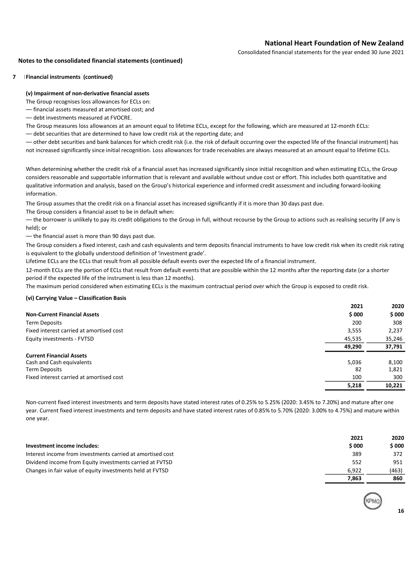Consolidated financial statements for the year ended 30 June 2021

### Notes to the consolidated financial statements (continued)

### 7 **IFinancial instruments (continued)**

### (v) Impairment of non-derivative financial assets

The Group recognises loss allowances for ECLs on:

- –– financial assets measured at amortised cost; and
- –– debt investments measured at FVOCRE.

The Group measures loss allowances at an amount equal to lifetime ECLs, except for the following, which are measured at 12-month ECLs:

–– debt securities that are determined to have low credit risk at the reporting date; and

–– other debt securities and bank balances for which credit risk (i.e. the risk of default occurring over the expected life of the financial instrument) has not increased significantly since initial recognition. Loss allowances for trade receivables are always measured at an amount equal to lifetime ECLs.

When determining whether the credit risk of a financial asset has increased significantly since initial recognition and when estimating ECLs, the Group considers reasonable and supportable information that is relevant and available without undue cost or effort. This includes both quantitative and qualitative information and analysis, based on the Group's historical experience and informed credit assessment and including forward-looking information.

The Group assumes that the credit risk on a financial asset has increased significantly if it is more than 30 days past due.

The Group considers a financial asset to be in default when:

–– the borrower is unlikely to pay its credit obligations to the Group in full, without recourse by the Group to actions such as realising security (if any is held); or

–– the financial asset is more than 90 days past due.

The Group considers a fixed interest, cash and cash equivalents and term deposits financial instruments to have low credit risk when its credit risk rating is equivalent to the globally understood definition of 'investment grade'.

Lifetime ECLs are the ECLs that result from all possible default events over the expected life of a financial instrument.

12-month ECLs are the portion of ECLs that result from default events that are possible within the 12 months after the reporting date (or a shorter period if the expected life of the instrument is less than 12 months).

The maximum period considered when estimating ECLs is the maximum contractual period over which the Group is exposed to credit risk.

### (vi) Carrying Value – Classification Basis

|                                          | 2021   | 2020   |
|------------------------------------------|--------|--------|
| <b>Non-Current Financial Assets</b>      | \$000  | \$000  |
| <b>Term Deposits</b>                     | 200    | 308    |
| Fixed interest carried at amortised cost | 3,555  | 2,237  |
| Equity investments - FVTSD               | 45,535 | 35,246 |
|                                          | 49.290 | 37,791 |
| <b>Current Financial Assets</b>          |        |        |
| Cash and Cash equivalents                | 5,036  | 8,100  |
| <b>Term Deposits</b>                     | 82     | 1,821  |
| Fixed interest carried at amortised cost | 100    | 300    |
|                                          | 5,218  | 10.221 |

Non-current fixed interest investments and term deposits have stated interest rates of 0.25% to 5.25% (2020: 3.45% to 7.20%) and mature after one year. Current fixed interest investments and term deposits and have stated interest rates of 0.85% to 5.70% (2020: 3.00% to 4.75%) and mature within one year.

| Investment income includes:                                | 2021<br>\$000 | 2020<br>\$000 |
|------------------------------------------------------------|---------------|---------------|
| Interest income from investments carried at amortised cost | 389           | 372           |
| Dividend income from Equity investments carried at FVTSD   | 552           | 951           |
| Changes in fair value of equity investments held at FVTSD  | 6.922         | (463)         |
|                                                            | 7.863         | 860           |

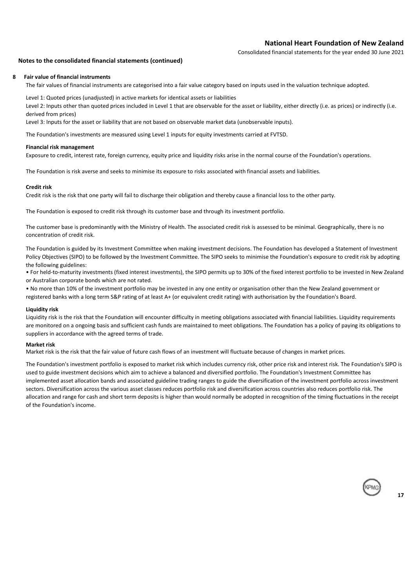Consolidated financial statements for the year ended 30 June 2021

### Notes to the consolidated financial statements (continued)

### 8 Fair value of financial instruments

The fair values of financial instruments are categorised into a fair value category based on inputs used in the valuation technique adopted.

Level 1: Quoted prices (unadjusted) in active markets for identical assets or liabilities

Level 2: Inputs other than quoted prices included in Level 1 that are observable for the asset or liability, either directly (i.e. as prices) or indirectly (i.e. derived from prices)

Level 3: Inputs for the asset or liability that are not based on observable market data (unobservable inputs).

The Foundation's investments are measured using Level 1 inputs for equity investments carried at FVTSD.

### Financial risk management

Exposure to credit, interest rate, foreign currency, equity price and liquidity risks arise in the normal course of the Foundation's operations.

The Foundation is risk averse and seeks to minimise its exposure to risks associated with financial assets and liabilities.

### Credit risk

Credit risk is the risk that one party will fail to discharge their obligation and thereby cause a financial loss to the other party.

The Foundation is exposed to credit risk through its customer base and through its investment portfolio.

The customer base is predominantly with the Ministry of Health. The associated credit risk is assessed to be minimal. Geographically, there is no concentration of credit risk.

The Foundation is guided by its Investment Committee when making investment decisions. The Foundation has developed a Statement of Investment Policy Objectives (SIPO) to be followed by the Investment Committee. The SIPO seeks to minimise the Foundation's exposure to credit risk by adopting the following guidelines:

• For held-to-maturity investments (fixed interest investments), the SIPO permits up to 30% of the fixed interest portfolio to be invested in New Zealand or Australian corporate bonds which are not rated.

• No more than 10% of the investment portfolio may be invested in any one entity or organisation other than the New Zealand government or registered banks with a long term S&P rating of at least A+ (or equivalent credit rating) with authorisation by the Foundation's Board.

### Liquidity risk

Liquidity risk is the risk that the Foundation will encounter difficulty in meeting obligations associated with financial liabilities. Liquidity requirements are monitored on a ongoing basis and sufficient cash funds are maintained to meet obligations. The Foundation has a policy of paying its obligations to suppliers in accordance with the agreed terms of trade.

### Market risk

Market risk is the risk that the fair value of future cash flows of an investment will fluctuate because of changes in market prices.

The Foundation's investment portfolio is exposed to market risk which includes currency risk, other price risk and interest risk. The Foundation's SIPO is used to guide investment decisions which aim to achieve a balanced and diversified portfolio. The Foundation's Investment Committee has implemented asset allocation bands and associated guideline trading ranges to guide the diversification of the investment portfolio across investment sectors. Diversification across the various asset classes reduces portfolio risk and diversification across countries also reduces portfolio risk. The allocation and range for cash and short term deposits is higher than would normally be adopted in recognition of the timing fluctuations in the receipt of the Foundation's income.

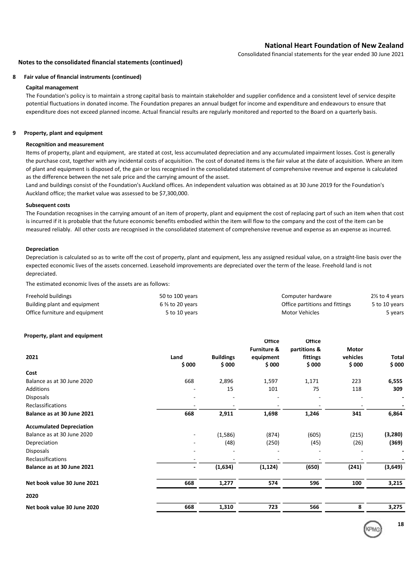Consolidated financial statements for the year ended 30 June 2021

### Notes to the consolidated financial statements (continued)

### 8 Fair value of financial instruments (continued)

### Capital management

The Foundation's policy is to maintain a strong capital basis to maintain stakeholder and supplier confidence and a consistent level of service despite potential fluctuations in donated income. The Foundation prepares an annual budget for income and expenditure and endeavours to ensure that expenditure does not exceed planned income. Actual financial results are regularly monitored and reported to the Board on a quarterly basis.

### 9 Property, plant and equipment

### Recognition and measurement

Items of property, plant and equipment, are stated at cost, less accumulated depreciation and any accumulated impairment losses. Cost is generally the purchase cost, together with any incidental costs of acquisition. The cost of donated items is the fair value at the date of acquisition. Where an item of plant and equipment is disposed of, the gain or loss recognised in the consolidated statement of comprehensive revenue and expense is calculated as the difference between the net sale price and the carrying amount of the asset.

Land and buildings consist of the Foundation's Auckland offices. An independent valuation was obtained as at 30 June 2019 for the Foundation's Auckland office; the market value was assessed to be \$7,300,000.

### Subsequent costs

The Foundation recognises in the carrying amount of an item of property, plant and equipment the cost of replacing part of such an item when that cost is incurred if it is probable that the future economic benefits embodied within the item will flow to the company and the cost of the item can be measured reliably. All other costs are recognised in the consolidated statement of comprehensive revenue and expense as an expense as incurred.

### Depreciation

Depreciation is calculated so as to write off the cost of property, plant and equipment, less any assigned residual value, on a straight-line basis over the expected economic lives of the assets concerned. Leasehold improvements are depreciated over the term of the lease. Freehold land is not depreciated.

The estimated economic lives of the assets are as follows:

| Freehold buildings             | 50 to 100 years            | Computer hardware              | 2½ to 4 years |
|--------------------------------|----------------------------|--------------------------------|---------------|
| Building plant and equipment   | $6\frac{2}{3}$ to 20 years | Office partitions and fittings | 5 to 10 years |
| Office furniture and equipment | 5 to 10 years              | Motor Vehicles                 | 5 years       |

### Property, plant and equipment

| Property, plant and equipment   |               |                            | <b>Office</b><br><b>Furniture &amp;</b> | <b>Office</b><br>partitions & | Motor             |                        |
|---------------------------------|---------------|----------------------------|-----------------------------------------|-------------------------------|-------------------|------------------------|
| 2021                            | Land<br>\$000 | <b>Buildings</b><br>\$ 000 | equipment<br>\$000                      | fittings<br>\$000             | vehicles<br>\$000 | <b>Total</b><br>\$ 000 |
| Cost                            |               |                            |                                         |                               |                   |                        |
| Balance as at 30 June 2020      | 668           | 2,896                      | 1,597                                   | 1,171                         | 223               | 6,555                  |
| Additions                       |               | 15                         | 101                                     | 75                            | 118               | 309                    |
| <b>Disposals</b>                |               |                            |                                         |                               |                   |                        |
| Reclassifications               |               |                            |                                         |                               | ٠                 |                        |
| Balance as at 30 June 2021      | 668           | 2,911                      | 1,698                                   | 1,246                         | 341               | 6,864                  |
| <b>Accumulated Depreciation</b> |               |                            |                                         |                               |                   |                        |
| Balance as at 30 June 2020      |               | (1,586)                    | (874)                                   | (605)                         | (215)             | (3, 280)               |
| Depreciation                    |               | (48)                       | (250)                                   | (45)                          | (26)              | (369)                  |
| <b>Disposals</b>                |               |                            |                                         |                               |                   |                        |
| <b>Reclassifications</b>        |               |                            |                                         |                               |                   |                        |
| Balance as at 30 June 2021      |               | (1,634)                    | (1, 124)                                | (650)                         | (241)             | (3,649)                |
| Net book value 30 June 2021     | 668           | 1,277                      | 574                                     | 596                           | 100               | 3,215                  |
| 2020                            |               |                            |                                         |                               |                   |                        |
| Net book value 30 June 2020     | 668           | 1,310                      | 723                                     | 566                           | 8                 | 3,275                  |

18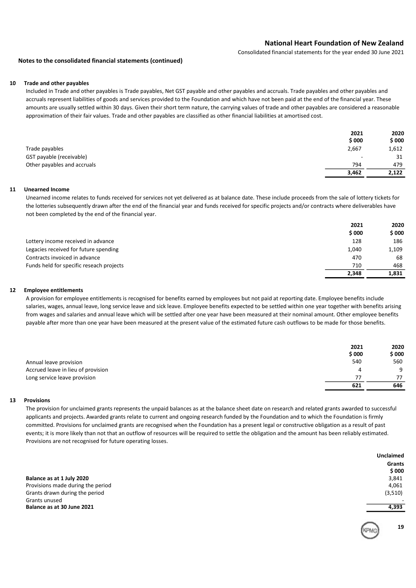Consolidated financial statements for the year ended 30 June 2021

### Notes to the consolidated financial statements (continued)

### 10 Trade and other payables

Included in Trade and other payables is Trade payables, Net GST payable and other payables and accruals. Trade payables and other payables and accruals represent liabilities of goods and services provided to the Foundation and which have not been paid at the end of the financial year. These amounts are usually settled within 30 days. Given their short term nature, the carrying values of trade and other payables are considered a reasonable approximation of their fair values. Trade and other payables are classified as other financial liabilities at amortised cost.

|                             | 2021                     | 2020  |
|-----------------------------|--------------------------|-------|
|                             | \$000                    | \$000 |
| Trade payables              | 2,667                    | 1,612 |
| GST payable (receivable)    | $\overline{\phantom{a}}$ | 31    |
| Other payables and accruals | 794                      | 479   |
|                             | 3,462                    | 2,122 |

### 11 Unearned Income

Unearned income relates to funds received for services not yet delivered as at balance date. These include proceeds from the sale of lottery tickets for the lotteries subsequently drawn after the end of the financial year and funds received for specific projects and/or contracts where deliverables have not been completed by the end of the financial year.

|                                          | 2021  | 2020  |
|------------------------------------------|-------|-------|
|                                          | \$000 | \$000 |
| Lottery income received in advance       | 128   | 186   |
| Legacies received for future spending    | 1,040 | 1,109 |
| Contracts invoiced in advance            | 470   | 68    |
| Funds held for specific reseach projects | 710   | 468   |
|                                          | 2.348 | 1,831 |

### 12 Employee entitlements

A provision for employee entitlements is recognised for benefits earned by employees but not paid at reporting date. Employee benefits include salaries, wages, annual leave, long service leave and sick leave. Employee benefits expected to be settled within one year together with benefits arising from wages and salaries and annual leave which will be settled after one year have been measured at their nominal amount. Other employee benefits payable after more than one year have been measured at the present value of the estimated future cash outflows to be made for those benefits.

|                                    | 2021<br>\$000 | 2020<br>\$ 000 |
|------------------------------------|---------------|----------------|
| Annual leave provision             | 540           | 560            |
| Accrued leave in lieu of provision | 4             | q              |
| Long service leave provision       | 77            | 77             |
|                                    | 621           | 646            |

### 13 Provisions

The provision for unclaimed grants represents the unpaid balances as at the balance sheet date on research and related grants awarded to successful applicants and projects. Awarded grants relate to current and ongoing research funded by the Foundation and to which the Foundation is firmly committed. Provisions for unclaimed grants are recognised when the Foundation has a present legal or constructive obligation as a result of past events; it is more likely than not that an outflow of resources will be required to settle the obligation and the amount has been reliably estimated. Provisions are not recognised for future operating losses.

Balance as at 1 July 2020 Provisions made during the period Grants drawn during the period Grants unused - Balance as at 30 June 2021 **4,393** 

| \$ 000  |
|---------|
| 3.841   |
| 4,061   |
| (3,510) |
|         |

Unclaimed Grants

19

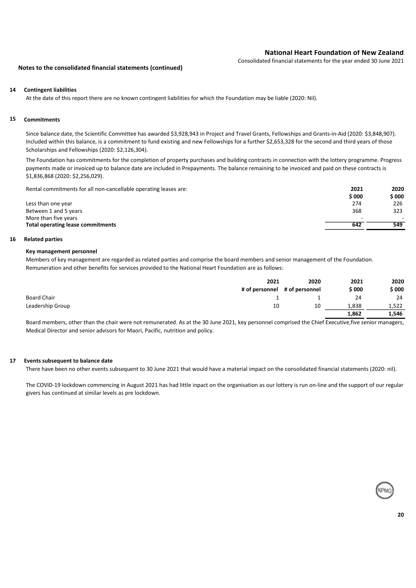Consolidated financial statements for the year ended 30 June 2021

### Notes to the consolidated financial statements (continued)

### 14 Contingent liabilities

At the date of this report there are no known contingent liabilities for which the Foundation may be liable (2020: Nil).

### 15 Commitments

Since balance date, the Scientific Committee has awarded \$3,928,943 in Project and Travel Grants, Fellowships and Grants-in-Aid (2020: \$3,848,907). Included within this balance, is a commitment to fund existing and new Fellowships for a further \$2,653,328 for the second and third years of those Scholarships and Fellowships (2020: \$2,126,304).

The Foundation has commitments for the completion of property purchases and building contracts in connection with the lottery programme. Progress payments made or invoiced up to balance date are included in Prepayments. The balance remaining to be invoiced and paid on these contracts is \$1,836,868 (2020: \$2,256,029).

Rental commitments for all non-cancellable operating leases are: 2021 2020

| <u>nental communication of all hold cancellable operating icases are:</u> | ----  | ----   |
|---------------------------------------------------------------------------|-------|--------|
|                                                                           | \$000 | \$ 000 |
| Less than one year                                                        | 274   | 226    |
| Between 1 and 5 years                                                     | 368   | 323    |
| More than five years                                                      |       |        |
| <b>Total operating lease commitments</b>                                  | 642   | 549    |
|                                                                           |       |        |

### 16 Related parties

### Key management personnel

Members of key management are regarded as related parties and comprise the board members and senior management of the Foundation. Remuneration and other benefits for services provided to the National Heart Foundation are as follows:

|                  | 2021                          | 2020 | 2021   | 2020  |
|------------------|-------------------------------|------|--------|-------|
|                  | # of personnel # of personnel |      | \$ 000 | \$000 |
| Board Chair      |                               |      | 24     | 24    |
| Leadership Group | 10                            | 10   | 1,838  | 1,522 |
|                  |                               |      | 1,862  | 1,546 |

Board members, other than the chair were not remunerated. As at the 30 June 2021, key personnel comprised the Chief Executive,five senior managers, Medical Director and senior advisors for Maori, Pacific, nutrition and policy.

### 17 Events subsequent to balance date

There have been no other events subsequent to 30 June 2021 that would have a material impact on the consolidated financial statements (2020: nil).

The COVID-19 lockdown commencing in August 2021 has had little inpact on the organisation as our lottery is run on-line and the support of our regular givers has continued at similar levels as pre lockdown.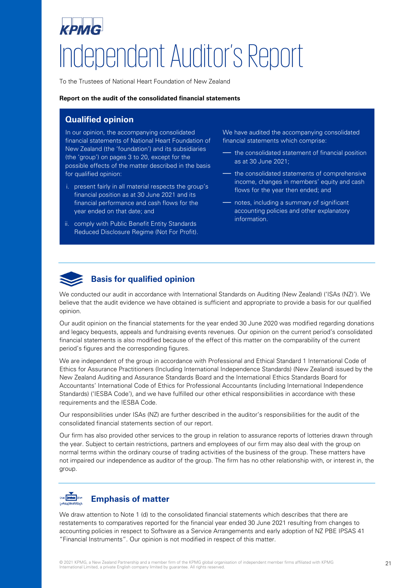# Independent Auditor's Report

To the Trustees of National Heart Foundation of New Zealand

### **Report on the audit of the consolidated financial statements**

# **Qualified opinion**

In our opinion, the accompanying consolidated financial statements of National Heart Foundation of New Zealand (the 'foundation') and its subsidiaries (the 'group') on pages 3 to 20, except for the possible effects of the matter described in the basis for qualified opinion:

- i. present fairly in all material respects the group's financial position as at 30 June 2021 and its financial performance and cash flows for the year ended on that date; and
- ii. comply with Public Benefit Entity Standards Reduced Disclosure Regime (Not For Profit).

We have audited the accompanying consolidated financial statements which comprise:

- the consolidated statement of financial position as at 30 June 2021;
- the consolidated statements of comprehensive income, changes in members' equity and cash flows for the year then ended; and
- notes, including a summary of significant accounting policies and other explanatory information.



# **Basis for qualified opinion**

We conducted our audit in accordance with International Standards on Auditing (New Zealand) ('ISAs (NZ)'). We believe that the audit evidence we have obtained is sufficient and appropriate to provide a basis for our qualified opinion.

Our audit opinion on the financial statements for the year ended 30 June 2020 was modified regarding donations and legacy bequests, appeals and fundraising events revenues. Our opinion on the current period's consolidated financial statements is also modified because of the effect of this matter on the comparability of the current period's figures and the corresponding figures.

We are independent of the group in accordance with Professional and Ethical Standard 1 International Code of Ethics for Assurance Practitioners (Including International Independence Standards) (New Zealand) issued by the New Zealand Auditing and Assurance Standards Board and the International Ethics Standards Board for Accountants' International Code of Ethics for Professional Accountants (including International Independence Standards) ('IESBA Code'), and we have fulfilled our other ethical responsibilities in accordance with these requirements and the IESBA Code.

Our responsibilities under ISAs (NZ) are further described in the auditor's responsibilities for the audit of the consolidated financial statements section of our report.

Our firm has also provided other services to the group in relation to assurance reports of lotteries drawn through the year. Subject to certain restrictions, partners and employees of our firm may also deal with the group on normal terms within the ordinary course of trading activities of the business of the group. These matters have not impaired our independence as auditor of the group. The firm has no other relationship with, or interest in, the group.

### un **mm Emphasis of matter**

We draw attention to Note 1 (d) to the consolidated financial statements which describes that there are restatements to comparatives reported for the financial year ended 30 June 2021 resulting from changes to accounting policies in respect to Software as a Service Arrangements and early adoption of NZ PBE IPSAS 41 "Financial Instruments". Our opinion is not modified in respect of this matter.